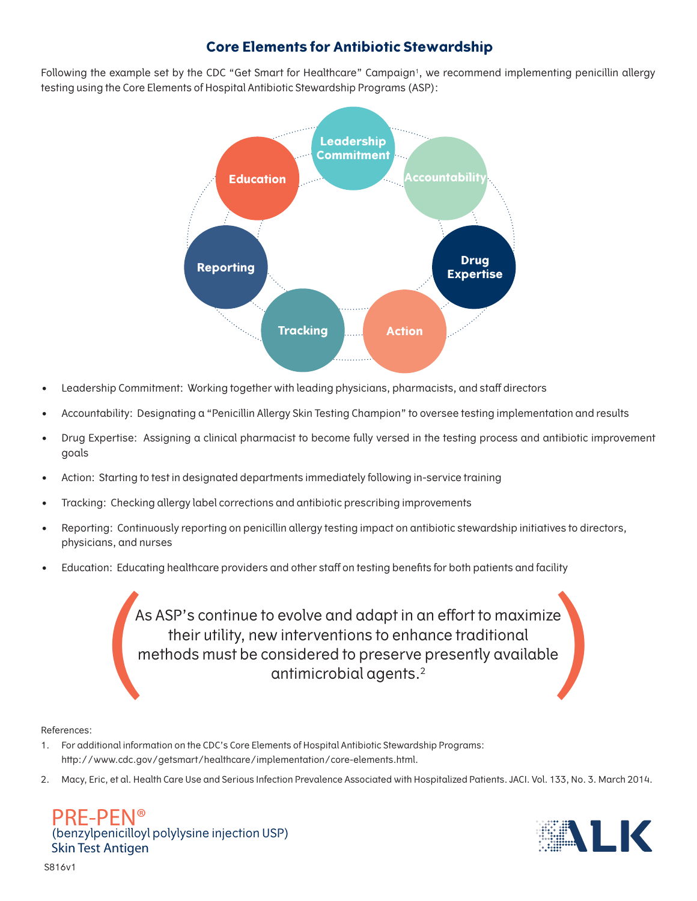# **Core Elements for Antibiotic Stewardship**

Following the example set by the CDC "Get Smart for Healthcare" Campaign<sup>1</sup>, we recommend implementing penicillin allergy testing using the Core Elements of Hospital Antibiotic Stewardship Programs (ASP):



- Leadership Commitment: Working together with leading physicians, pharmacists, and staff directors
- Accountability: Designating a "Penicillin Allergy Skin Testing Champion" to oversee testing implementation and results
- Drug Expertise: Assigning a clinical pharmacist to become fully versed in the testing process and antibiotic improvement goals
- Action: Starting to test in designated departments immediately following in-service training
- Tracking: Checking allergy label corrections and antibiotic prescribing improvements
- Reporting: Continuously reporting on penicillin allergy testing impact on antibiotic stewardship initiatives to directors, physicians, and nurses
- Education: Educating healthcare providers and other staff on testing benefits for both patients and facility

As ASP's continue to evolve and adapt in an effort to maximize their utility, new interventions to enhance traditional methods must be considered to preserve presently available antimicrobial agents.2 As ASP's continue to evolve and adapt in an effort to maximize<br>their utility, new interventions to enhance traditional<br>methods must be considered to preserve presently available<br>antimicrobial agents.<sup>2</sup>

# References:

- 1. For additional information on the CDC's Core Elements of Hospital Antibiotic Stewardship Programs: http://www.cdc.gov/getsmart/healthcare/implementation/core-elements.html.
- 2. Macy, Eric, et al. Health Care Use and Serious Infection Prevalence Associated with Hospitalized Patients. JACI. Vol. 133, No. 3. March 2014.

PRF-PFN® (benzylpenicilloyl polylysine injection USP)<br>Skin Test Antigen skin Test Antigen<br>Test Anti